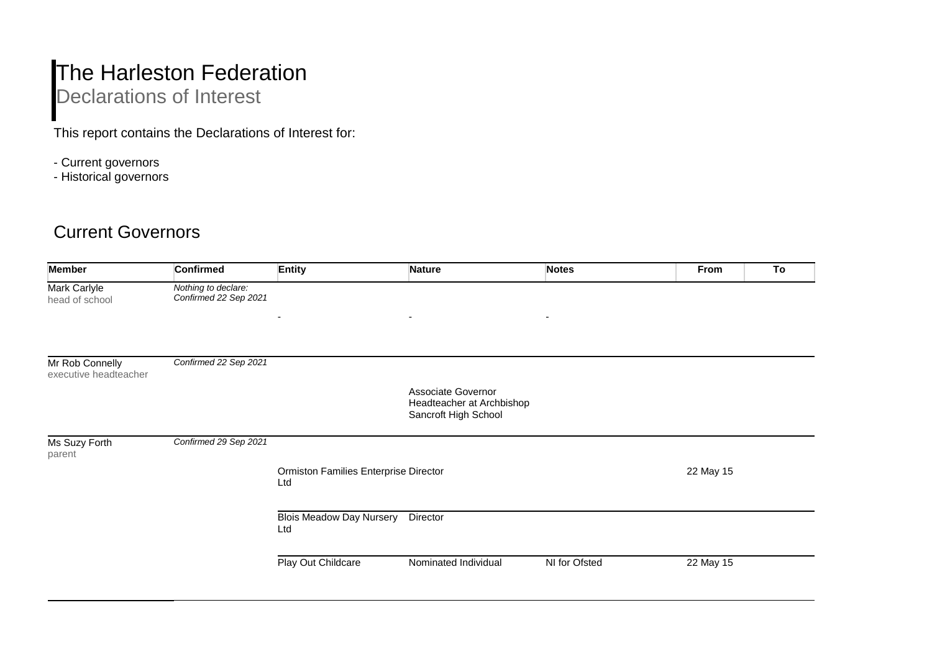## The Harleston Federation Declarations of Interest

This report contains the Declarations of Interest for:

- Current governors
- Historical governors

## Current Governors

| <b>Member</b>                            | <b>Confirmed</b>                             | <b>Entity</b>                                | <b>Nature</b>                                                           | <b>Notes</b>  | From<br>To |
|------------------------------------------|----------------------------------------------|----------------------------------------------|-------------------------------------------------------------------------|---------------|------------|
| Mark Carlyle<br>head of school           | Nothing to declare:<br>Confirmed 22 Sep 2021 |                                              |                                                                         |               |            |
|                                          |                                              | $\overline{\phantom{a}}$                     | $\blacksquare$                                                          | $\sim$        |            |
| Mr Rob Connelly<br>executive headteacher | Confirmed 22 Sep 2021                        |                                              |                                                                         |               |            |
|                                          |                                              |                                              | Associate Governor<br>Headteacher at Archbishop<br>Sancroft High School |               |            |
| Ms Suzy Forth<br>parent                  | Confirmed 29 Sep 2021                        |                                              |                                                                         |               |            |
|                                          |                                              | Ormiston Families Enterprise Director<br>Ltd |                                                                         |               | 22 May 15  |
|                                          |                                              | <b>Blois Meadow Day Nursery</b><br>Ltd       | Director                                                                |               |            |
|                                          |                                              | Play Out Childcare                           | Nominated Individual                                                    | NI for Ofsted | 22 May 15  |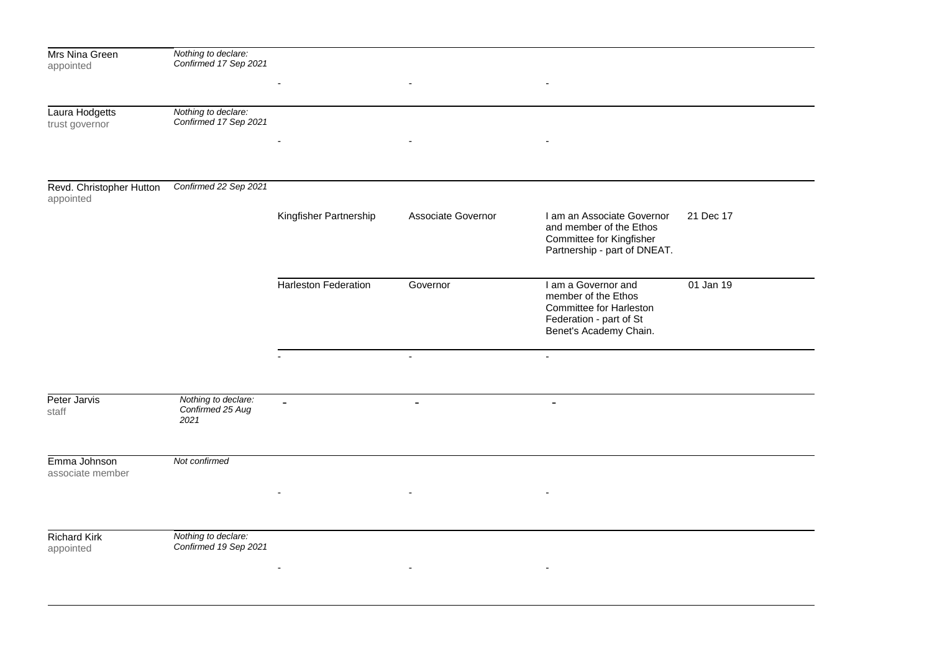| Mrs Nina Green<br>appointed           | Nothing to declare:<br>Confirmed 17 Sep 2021    |                             |                          |                                                                                                                            |           |
|---------------------------------------|-------------------------------------------------|-----------------------------|--------------------------|----------------------------------------------------------------------------------------------------------------------------|-----------|
|                                       |                                                 |                             |                          |                                                                                                                            |           |
| Laura Hodgetts<br>trust governor      | Nothing to declare:<br>Confirmed 17 Sep 2021    |                             |                          |                                                                                                                            |           |
|                                       |                                                 |                             |                          |                                                                                                                            |           |
| Revd. Christopher Hutton<br>appointed | Confirmed 22 Sep 2021                           |                             |                          |                                                                                                                            |           |
|                                       |                                                 | Kingfisher Partnership      | Associate Governor       | I am an Associate Governor<br>and member of the Ethos<br>Committee for Kingfisher<br>Partnership - part of DNEAT.          | 21 Dec 17 |
|                                       |                                                 | <b>Harleston Federation</b> | Governor                 | I am a Governor and<br>member of the Ethos<br>Committee for Harleston<br>Federation - part of St<br>Benet's Academy Chain. | 01 Jan 19 |
|                                       |                                                 |                             | $\blacksquare$           | $\blacksquare$                                                                                                             |           |
| Peter Jarvis<br>staff                 | Nothing to declare:<br>Confirmed 25 Aug<br>2021 | $\blacksquare$              | $\overline{\phantom{a}}$ | $\overline{\phantom{a}}$                                                                                                   |           |
| Emma Johnson<br>associate member      | Not confirmed                                   |                             |                          |                                                                                                                            |           |
|                                       |                                                 |                             |                          |                                                                                                                            |           |
| <b>Richard Kirk</b><br>appointed      | Nothing to declare:<br>Confirmed 19 Sep 2021    |                             |                          |                                                                                                                            |           |
|                                       |                                                 |                             |                          |                                                                                                                            |           |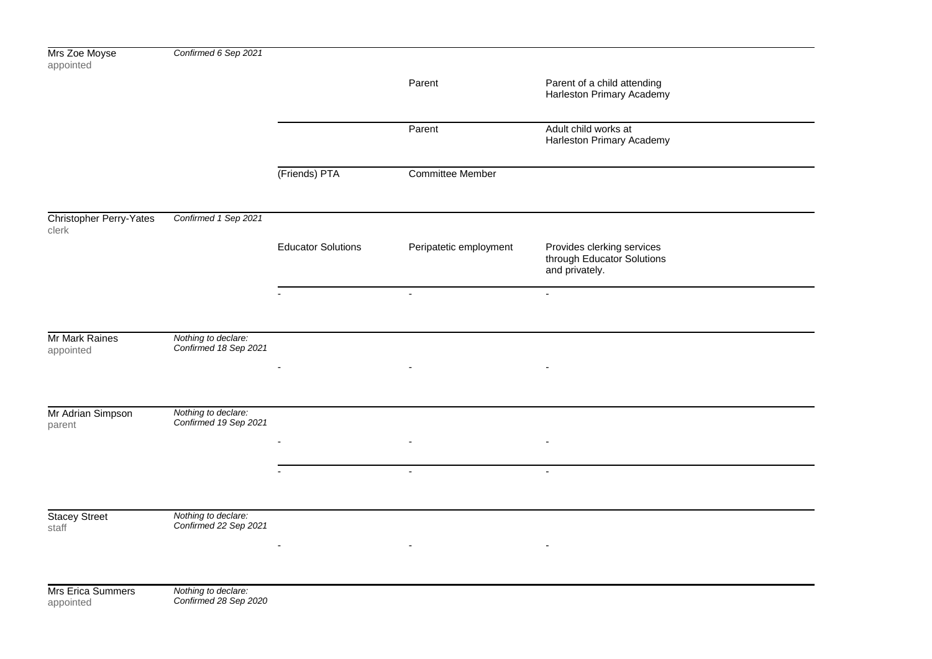| Mrs Zoe Moyse<br>appointed       | Confirmed 6 Sep 2021                         |                           |                                            |                                                                            |  |
|----------------------------------|----------------------------------------------|---------------------------|--------------------------------------------|----------------------------------------------------------------------------|--|
|                                  |                                              |                           | Parent                                     | Parent of a child attending<br>Harleston Primary Academy                   |  |
|                                  |                                              |                           | Parent                                     | Adult child works at<br>Harleston Primary Academy                          |  |
|                                  |                                              | (Friends) PTA             | Committee Member                           |                                                                            |  |
| Christopher Perry-Yates<br>clerk | Confirmed 1 Sep 2021                         |                           |                                            |                                                                            |  |
|                                  |                                              | <b>Educator Solutions</b> | Peripatetic employment                     | Provides clerking services<br>through Educator Solutions<br>and privately. |  |
|                                  |                                              |                           | $\blacksquare$                             | $\sim$                                                                     |  |
| Mr Mark Raines<br>appointed      | Nothing to declare:<br>Confirmed 18 Sep 2021 |                           |                                            |                                                                            |  |
|                                  |                                              |                           |                                            |                                                                            |  |
| Mr Adrian Simpson<br>parent      | Nothing to declare:<br>Confirmed 19 Sep 2021 |                           |                                            |                                                                            |  |
|                                  |                                              |                           | $\overline{\phantom{a}}$<br>$\blacksquare$ | $\sim$                                                                     |  |
|                                  |                                              |                           |                                            |                                                                            |  |
| <b>Stacey Street</b><br>staff    | Nothing to declare:<br>Confirmed 22 Sep 2021 | $\overline{\phantom{a}}$  | $\sim$                                     | $\overline{\phantom{a}}$                                                   |  |
|                                  |                                              |                           |                                            |                                                                            |  |
| Mrs Erica Summers<br>appointed   | Nothing to declare:<br>Confirmed 28 Sep 2020 |                           |                                            |                                                                            |  |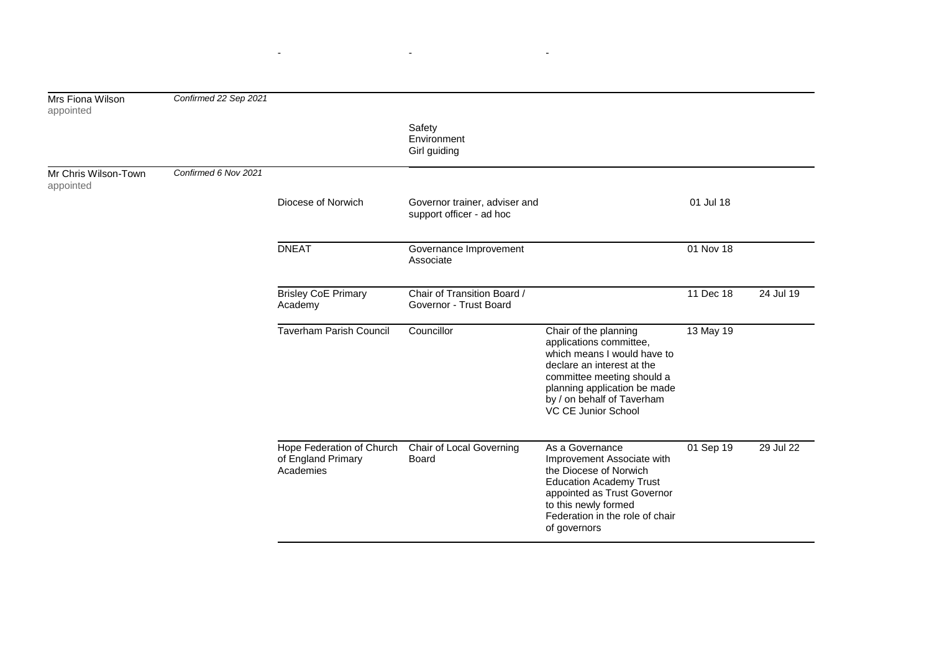| Mrs Fiona Wilson<br>appointed     | Confirmed 22 Sep 2021 |                                                              |                                                           |                                                                                                                                                                                                                                  |           |           |
|-----------------------------------|-----------------------|--------------------------------------------------------------|-----------------------------------------------------------|----------------------------------------------------------------------------------------------------------------------------------------------------------------------------------------------------------------------------------|-----------|-----------|
|                                   |                       |                                                              | Safety<br>Environment<br>Girl guiding                     |                                                                                                                                                                                                                                  |           |           |
| Mr Chris Wilson-Town<br>appointed | Confirmed 6 Nov 2021  |                                                              |                                                           |                                                                                                                                                                                                                                  |           |           |
|                                   |                       | Diocese of Norwich                                           | Governor trainer, adviser and<br>support officer - ad hoc |                                                                                                                                                                                                                                  | 01 Jul 18 |           |
|                                   |                       | <b>DNEAT</b>                                                 | Governance Improvement<br>Associate                       |                                                                                                                                                                                                                                  | 01 Nov 18 |           |
|                                   |                       | <b>Brisley CoE Primary</b><br>Academy                        | Chair of Transition Board /<br>Governor - Trust Board     |                                                                                                                                                                                                                                  | 11 Dec 18 | 24 Jul 19 |
|                                   |                       | <b>Taverham Parish Council</b>                               | Councillor                                                | Chair of the planning<br>applications committee,<br>which means I would have to<br>declare an interest at the<br>committee meeting should a<br>planning application be made<br>by / on behalf of Taverham<br>VC CE Junior School | 13 May 19 |           |
|                                   |                       | Hope Federation of Church<br>of England Primary<br>Academies | Chair of Local Governing<br>Board                         | As a Governance<br>Improvement Associate with<br>the Diocese of Norwich<br><b>Education Academy Trust</b><br>appointed as Trust Governor<br>to this newly formed<br>Federation in the role of chair<br>of governors              | 01 Sep 19 | 29 Jul 22 |

- - -